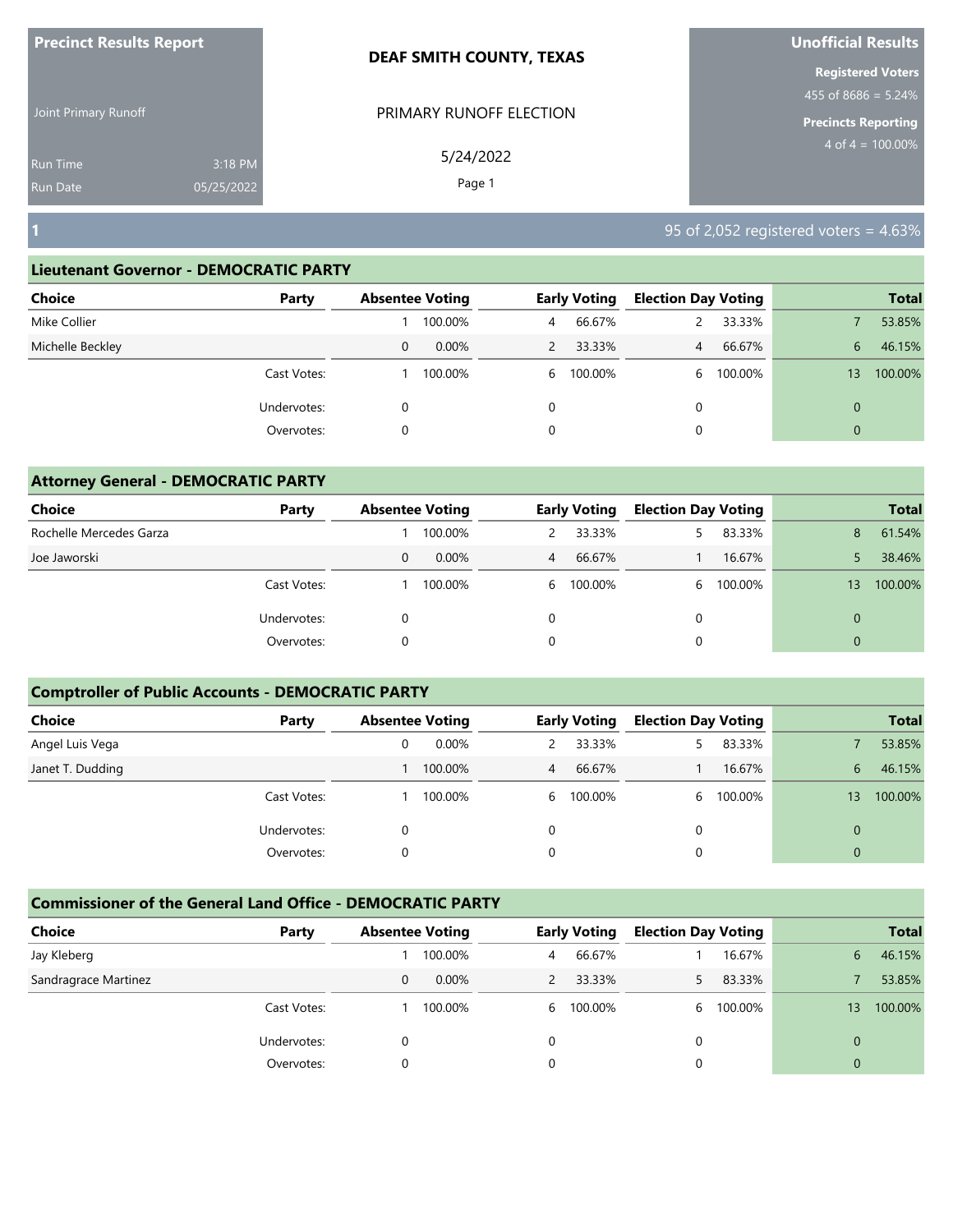| <b>Precinct Results Report</b>     |                       | <b>DEAF SMITH COUNTY, TEXAS</b> | <b>Unofficial Results</b>                                                        |
|------------------------------------|-----------------------|---------------------------------|----------------------------------------------------------------------------------|
| Joint Primary Runoff               |                       | PRIMARY RUNOFF ELECTION         | <b>Registered Voters</b><br>455 of $8686 = 5.24\%$<br><b>Precincts Reporting</b> |
| <b>Run Time</b><br><b>Run Date</b> | 3:18 PM<br>05/25/2022 | 5/24/2022<br>Page 1             | $4 \text{ of } 4 = 100.00\%$                                                     |
| $\vert$ 1                          |                       |                                 | 95 of 2,052 registered voters = $4.63\%$                                         |

| <b>Choice</b><br>Party |   | <b>Absentee Voting</b> |          | <b>Early Voting</b> | <b>Election Day Voting</b> |         |                | <b>Total</b> |
|------------------------|---|------------------------|----------|---------------------|----------------------------|---------|----------------|--------------|
| Mike Collier           |   | 100.00%                | 4        | 66.67%              |                            | 33.33%  |                | 53.85%       |
| Michelle Beckley       | 0 | $0.00\%$               |          | 33.33%              | 4                          | 66.67%  | 6              | 46.15%       |
| Cast Votes:            |   | 100.00%                | 6        | 100.00%             | <sub>6</sub>               | 100.00% | 13             | 100.00%      |
| Undervotes:            |   |                        | $\Omega$ |                     |                            |         | $\Omega$       |              |
| Overvotes:             |   |                        | 0        |                     | 0                          |         | $\overline{0}$ |              |

| <b>Attorney General - DEMOCRATIC PARTY</b> |             |   |                        |          |                     |                            |         |             |              |
|--------------------------------------------|-------------|---|------------------------|----------|---------------------|----------------------------|---------|-------------|--------------|
| Choice                                     | Party       |   | <b>Absentee Voting</b> |          | <b>Early Voting</b> | <b>Election Day Voting</b> |         |             | <b>Total</b> |
| Rochelle Mercedes Garza                    |             |   | 100.00%                | 2        | 33.33%              |                            | 83.33%  | 8           | 61.54%       |
| Joe Jaworski                               |             | 0 | $0.00\%$               | 4        | 66.67%              |                            | 16.67%  |             | 38.46%       |
|                                            | Cast Votes: |   | 100.00%                | 6        | 100.00%             | 6                          | 100.00% | 13          | 100.00%      |
|                                            | Undervotes: | 0 |                        | $\Omega$ |                     | $\Omega$                   |         | $\Omega$    |              |
|                                            | Overvotes:  | 0 |                        | 0        |                     |                            |         | $\mathbf 0$ |              |

## **Comptroller of Public Accounts - DEMOCRATIC PARTY**

| Choice           | Party       | <b>Absentee Voting</b> |          |   | <b>Early Voting</b> | <b>Election Day Voting</b> |         |                | <b>Total</b> |
|------------------|-------------|------------------------|----------|---|---------------------|----------------------------|---------|----------------|--------------|
| Angel Luis Vega  |             |                        | $0.00\%$ |   | 33.33%              |                            | 83.33%  |                | 53.85%       |
| Janet T. Dudding |             |                        | 100.00%  | 4 | 66.67%              |                            | 16.67%  | 6              | 46.15%       |
|                  | Cast Votes: |                        | 100.00%  |   | 6 100.00%           | 6                          | 100.00% | 13             | 100.00%      |
|                  | Undervotes: |                        |          | 0 |                     |                            |         | 0              |              |
|                  | Overvotes:  |                        |          | 0 |                     |                            |         | $\overline{0}$ |              |

| <b>Choice</b>        | Party       | <b>Absentee Voting</b> |         |   | <b>Early Voting</b> | <b>Election Day Voting</b> |         |          | <b>Total</b> |
|----------------------|-------------|------------------------|---------|---|---------------------|----------------------------|---------|----------|--------------|
| Jay Kleberg          |             |                        | 100.00% | 4 | 66.67%              |                            | 16.67%  | 6        | 46.15%       |
| Sandragrace Martinez |             | 0                      | 0.00%   |   | 33.33%              |                            | 83.33%  |          | 53.85%       |
|                      | Cast Votes: |                        | 100.00% | 6 | 100.00%             | h.                         | 100.00% | 13       | 100.00%      |
|                      | Undervotes: |                        |         | 0 |                     |                            |         |          |              |
|                      | Overvotes:  |                        |         |   |                     |                            |         | $\Omega$ |              |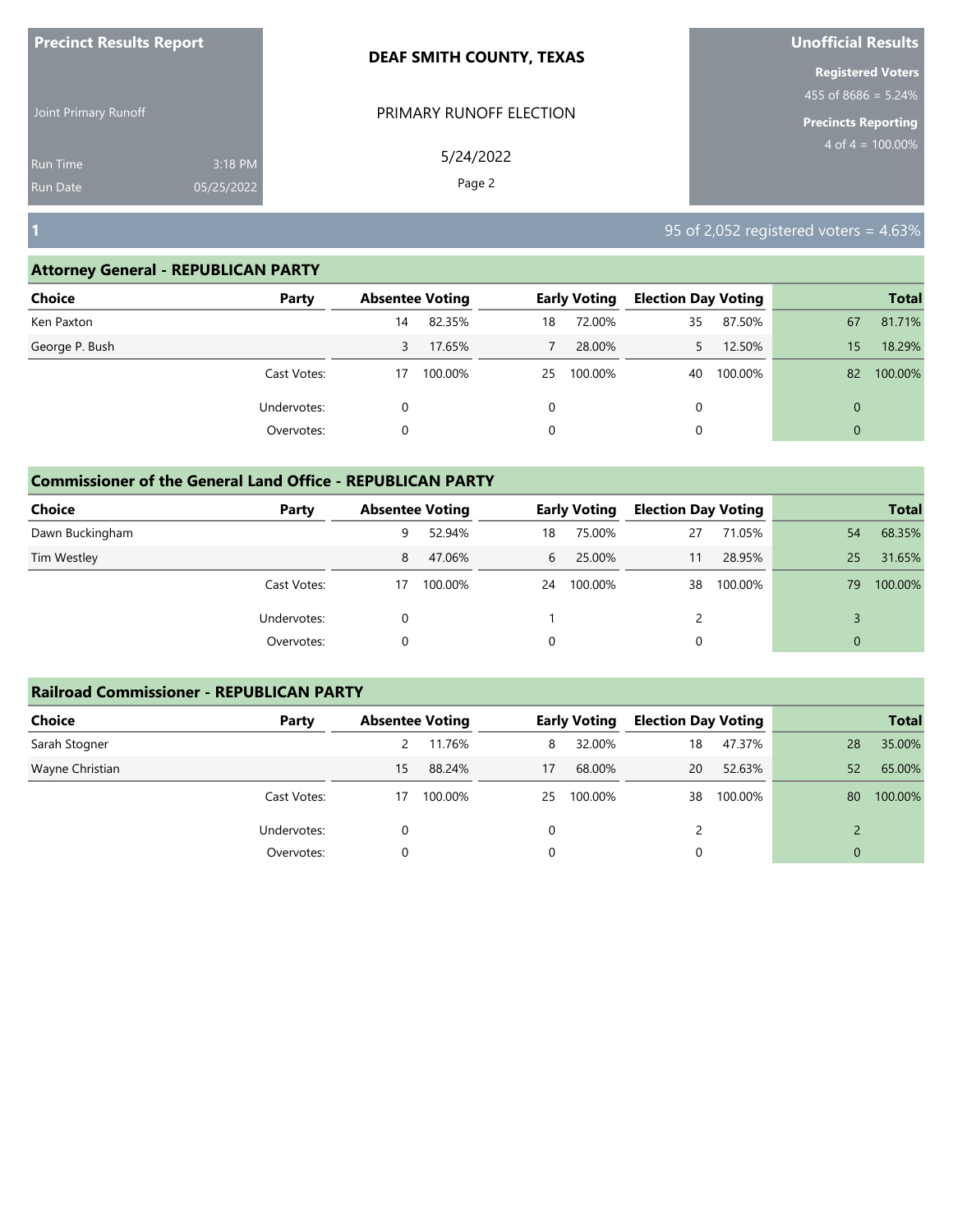| <b>Precinct Results Report</b>     |                       | <b>DEAF SMITH COUNTY, TEXAS</b> | Unofficial Results                                                            |
|------------------------------------|-----------------------|---------------------------------|-------------------------------------------------------------------------------|
| Joint Primary Runoff               |                       | PRIMARY RUNOFF ELECTION         | <b>Registered Voters</b><br>455 of 8686 = 5.24%<br><b>Precincts Reporting</b> |
| <b>Run Time</b><br><b>Run Date</b> | 3:18 PM<br>05/25/2022 | 5/24/2022<br>Page 2             | $4 \text{ of } 4 = 100.00\%$                                                  |
| Г                                  |                       |                                 | 95 of 2,052 registered voters = $4.63\%$                                      |

| Choice         | Party       |    | <b>Absentee Voting</b> |          | <b>Early Voting</b> | <b>Election Day Voting</b> |         |                | <b>Total</b> |
|----------------|-------------|----|------------------------|----------|---------------------|----------------------------|---------|----------------|--------------|
| Ken Paxton     |             | 14 | 82.35%                 | 18       | 72.00%              | 35                         | 87.50%  | 67             | 81.71%       |
| George P. Bush |             | 3  | 17.65%                 |          | 28.00%              |                            | 12.50%  | 15             | 18.29%       |
|                | Cast Votes: | 17 | 100.00%                | 25       | 100.00%             | 40                         | 100.00% | 82             | 100.00%      |
|                | Undervotes: |    |                        | $\Omega$ |                     | 0                          |         | $\mathbf 0$    |              |
|                | Overvotes:  |    |                        | 0        |                     | 0                          |         | $\overline{0}$ |              |

|                 | <b>Commissioner of the General Land Office - REPUBLICAN PARTY</b> |                        |         |    |                     |                            |         |    |              |  |  |  |
|-----------------|-------------------------------------------------------------------|------------------------|---------|----|---------------------|----------------------------|---------|----|--------------|--|--|--|
| <b>Choice</b>   | Party                                                             | <b>Absentee Voting</b> |         |    | <b>Early Voting</b> | <b>Election Day Voting</b> |         |    | <b>Total</b> |  |  |  |
| Dawn Buckingham |                                                                   | 9                      | 52.94%  | 18 | 75.00%              | 27                         | 71.05%  | 54 | 68.35%       |  |  |  |
| Tim Westley     |                                                                   | 8                      | 47.06%  | 6  | 25.00%              | 11                         | 28.95%  | 25 | 31.65%       |  |  |  |
|                 | Cast Votes:                                                       | 17                     | 100.00% | 24 | 100.00%             | 38                         | 100.00% | 79 | 100.00%      |  |  |  |
|                 | Undervotes:                                                       | 0                      |         |    |                     | 2                          |         |    |              |  |  |  |
|                 | Overvotes:                                                        |                        |         |    |                     | 0                          |         |    |              |  |  |  |

| <b>Railroad Commissioner - REPUBLICAN PARTY</b> |             |                        |         |    |                     |                            |         |                 |              |
|-------------------------------------------------|-------------|------------------------|---------|----|---------------------|----------------------------|---------|-----------------|--------------|
| <b>Choice</b>                                   | Party       | <b>Absentee Voting</b> |         |    | <b>Early Voting</b> | <b>Election Day Voting</b> |         |                 | <b>Total</b> |
| Sarah Stogner                                   |             |                        | 11.76%  | 8  | 32.00%              | 18                         | 47.37%  | 28              | 35.00%       |
| Wayne Christian                                 |             | 15                     | 88.24%  | 17 | 68.00%              | 20                         | 52.63%  | 52 <sup>°</sup> | 65.00%       |
|                                                 | Cast Votes: | 17                     | 100.00% | 25 | 100.00%             | 38                         | 100.00% | 80              | 100.00%      |
|                                                 | Undervotes: | 0                      |         |    |                     |                            |         |                 |              |
|                                                 | Overvotes:  | 0                      |         |    |                     | 0                          |         | $\mathbf{0}$    |              |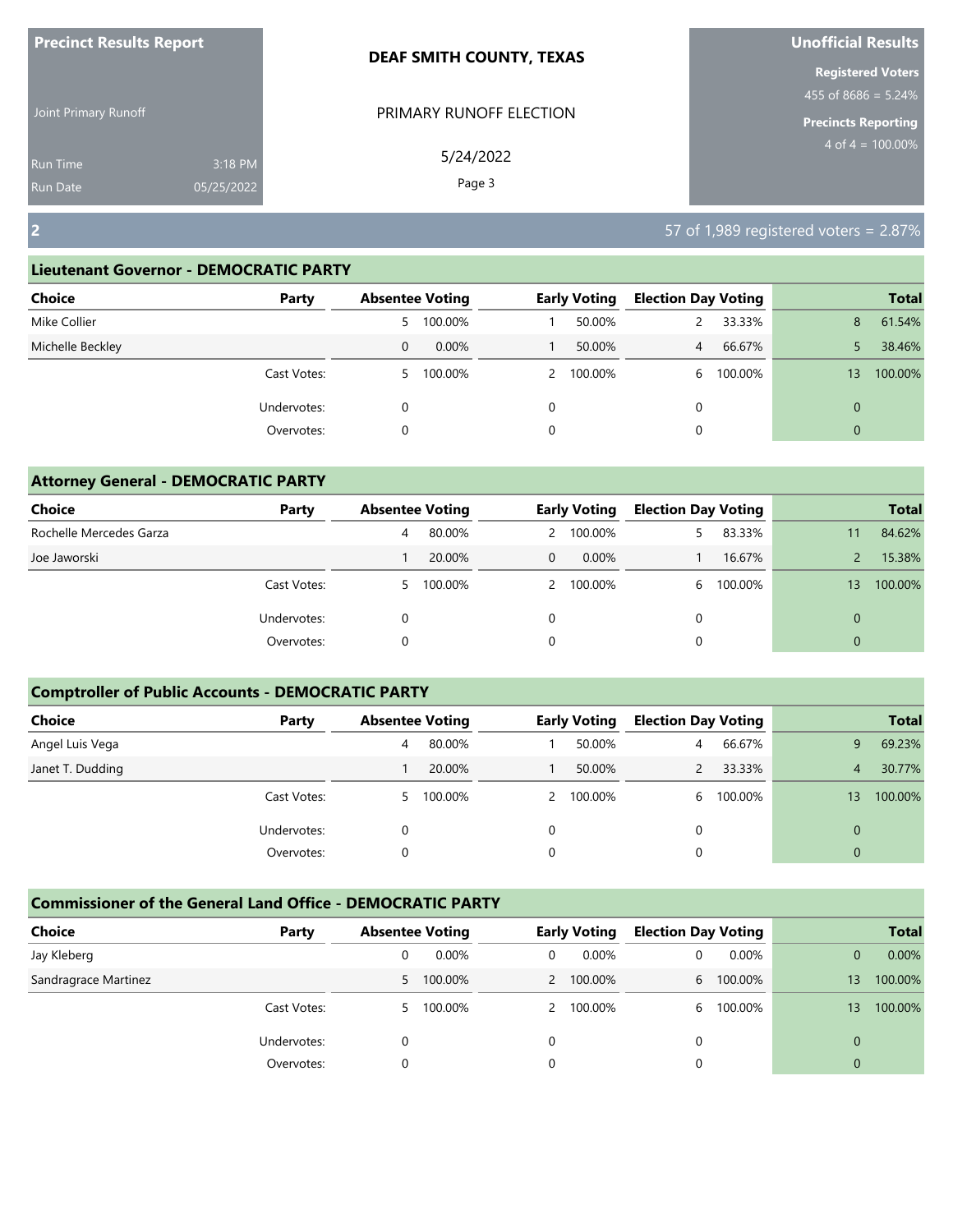| <b>Precinct Results Report</b>     |                       | <b>DEAF SMITH COUNTY, TEXAS</b> | Unofficial Results                                                            |
|------------------------------------|-----------------------|---------------------------------|-------------------------------------------------------------------------------|
| Joint Primary Runoff               |                       | PRIMARY RUNOFF ELECTION         | <b>Registered Voters</b><br>455 of 8686 = 5.24%<br><b>Precincts Reporting</b> |
| <b>Run Time</b><br><b>Run Date</b> | 3:18 PM<br>05/25/2022 | 5/24/2022<br>Page 3             | $4 \text{ of } 4 = 100.00\%$                                                  |
| $\overline{2}$                     |                       |                                 | 57 of 1,989 registered voters = $2.87\%$                                      |

| Choice           | Party       | <b>Absentee Voting</b> |           |   | <b>Early Voting</b> | <b>Election Day Voting</b> |         |                 | <b>Total</b> |
|------------------|-------------|------------------------|-----------|---|---------------------|----------------------------|---------|-----------------|--------------|
| Mike Collier     |             |                        | 5 100.00% |   | 50.00%              |                            | 33.33%  | 8               | 61.54%       |
| Michelle Beckley |             | 0                      | 0.00%     |   | 50.00%              | $\overline{4}$             | 66.67%  |                 | 38.46%       |
|                  | Cast Votes: | 5.                     | 100.00%   |   | 2 100.00%           | 6                          | 100.00% | 13 <sup>°</sup> | 100.00%      |
|                  | Undervotes: | 0                      |           | 0 |                     | 0                          |         | $\mathbf{0}$    |              |
|                  | Overvotes:  | 0                      |           | 0 |                     | 0                          |         | $\mathbf{0}$    |              |
|                  |             |                        |           |   |                     |                            |         |                 |              |

| <b>Attorney General - DEMOCRATIC PARTY</b> |             |              |                        |          |                     |                            |         |    |              |
|--------------------------------------------|-------------|--------------|------------------------|----------|---------------------|----------------------------|---------|----|--------------|
| <b>Choice</b>                              | Party       |              | <b>Absentee Voting</b> |          | <b>Early Voting</b> | <b>Election Day Voting</b> |         |    | <b>Total</b> |
| Rochelle Mercedes Garza                    |             | 4            | 80.00%                 |          | 2 100.00%           | 5.                         | 83.33%  | 11 | 84.62%       |
| Joe Jaworski                               |             |              | 20.00%                 | $\Omega$ | 0.00%               |                            | 16.67%  |    | 15.38%       |
|                                            | Cast Votes: | $\mathbf{P}$ | 100.00%                |          | 2 100.00%           | 6                          | 100.00% | 13 | 100.00%      |
|                                            | Undervotes: |              |                        |          |                     | $\Omega$                   |         | 0  |              |
|                                            | Overvotes:  | 0            |                        | 0        |                     | 0                          |         | 0  |              |

## **Comptroller of Public Accounts - DEMOCRATIC PARTY**

| Choice           | Party       | <b>Absentee Voting</b> |           |   | <b>Early Voting</b> | <b>Election Day Voting</b> |         |                | <b>Total</b> |
|------------------|-------------|------------------------|-----------|---|---------------------|----------------------------|---------|----------------|--------------|
| Angel Luis Vega  |             | 4                      | 80.00%    |   | 50.00%              | 4                          | 66.67%  | 9              | 69.23%       |
| Janet T. Dudding |             |                        | 20.00%    |   | 50.00%              |                            | 33.33%  | 4              | 30.77%       |
|                  | Cast Votes: |                        | 5 100.00% |   | 2 100.00%           | 6.                         | 100.00% | 13             | 100.00%      |
|                  | Undervotes: |                        |           | 0 |                     |                            |         | 0              |              |
|                  | Overvotes:  |                        |           | 0 |                     |                            |         | $\overline{0}$ |              |

| Choice               | Party       | <b>Absentee Voting</b> |         |   | <b>Early Voting</b> | <b>Election Day Voting</b> |         |    | <b>Total</b> |
|----------------------|-------------|------------------------|---------|---|---------------------|----------------------------|---------|----|--------------|
| Jay Kleberg          |             |                        | 0.00%   | 0 | 0.00%               |                            | 0.00%   |    | 0.00%        |
| Sandragrace Martinez |             | 5.                     | 100.00% |   | 2 100.00%           | 6                          | 100.00% | 13 | 100.00%      |
|                      | Cast Votes: | 5                      | 100.00% |   | 2 100.00%           | h                          | 100.00% | 13 | 100.00%      |
|                      | Undervotes: |                        |         |   |                     |                            |         |    |              |
|                      | Overvotes:  |                        |         |   |                     |                            |         | 0  |              |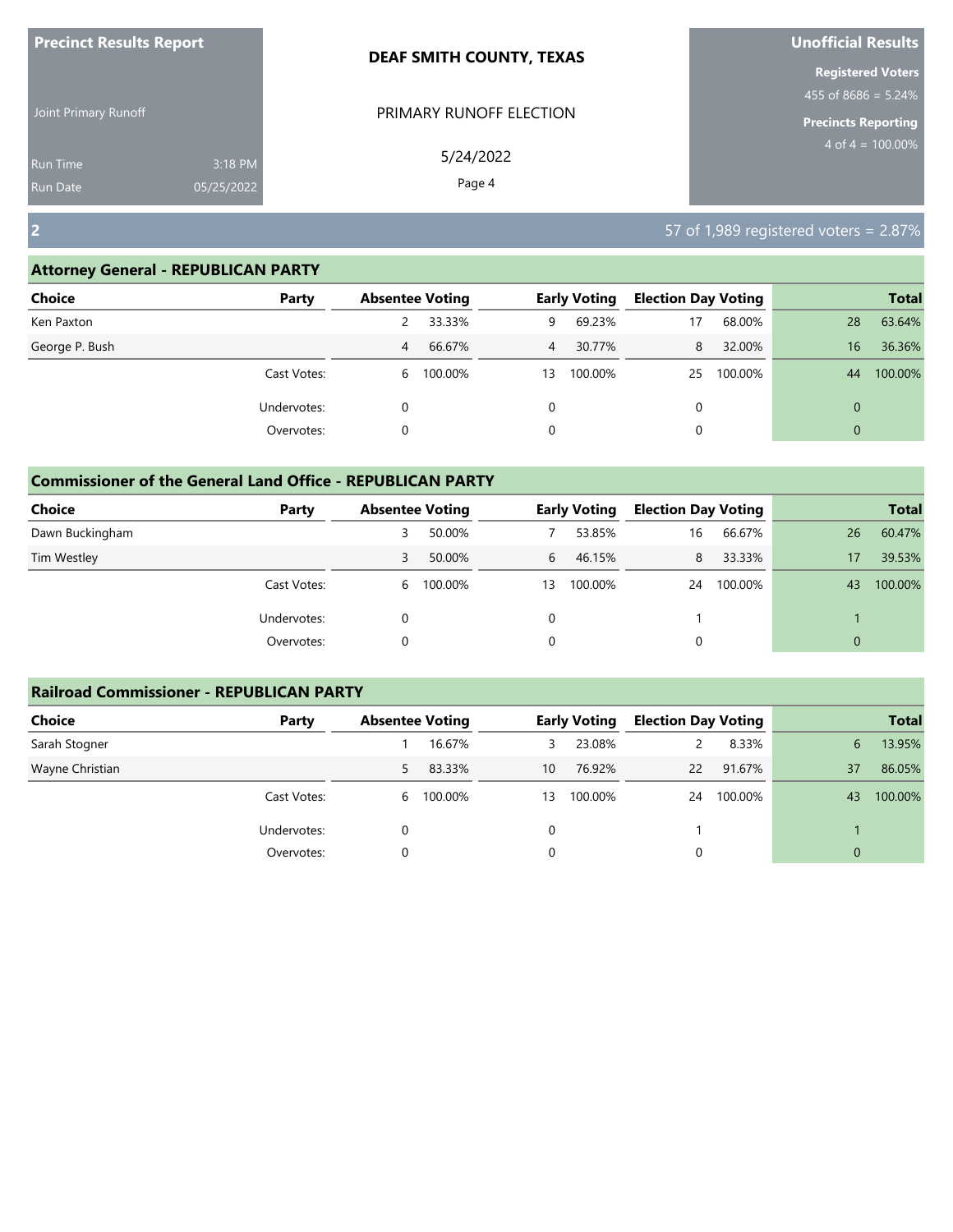| <b>Precinct Results Report</b>     |                       | <b>DEAF SMITH COUNTY, TEXAS</b> | Unofficial Results                                                               |  |  |
|------------------------------------|-----------------------|---------------------------------|----------------------------------------------------------------------------------|--|--|
| Joint Primary Runoff               |                       | PRIMARY RUNOFF ELECTION         | <b>Registered Voters</b><br>455 of $8686 = 5.24\%$<br><b>Precincts Reporting</b> |  |  |
| <b>Run Time</b><br><b>Run Date</b> | 3:18 PM<br>05/25/2022 | 5/24/2022<br>Page 4             | $4 \text{ of } 4 = 100.00\%$                                                     |  |  |
| $\overline{2}$                     |                       |                                 | 57 of 1,989 registered voters = 2.87%                                            |  |  |

| <b>Choice</b>  | Party       | <b>Absentee Voting</b> |         |    | <b>Early Voting</b> | <b>Election Day Voting</b> |         |                | <b>Total</b> |
|----------------|-------------|------------------------|---------|----|---------------------|----------------------------|---------|----------------|--------------|
| Ken Paxton     |             |                        | 33.33%  | 9  | 69.23%              | 17                         | 68.00%  | 28             | 63.64%       |
| George P. Bush |             | 4                      | 66.67%  | 4  | 30.77%              | 8                          | 32.00%  | 16             | 36.36%       |
|                | Cast Votes: | 6                      | 100.00% | 13 | 100.00%             | 25                         | 100.00% | 44             | 100.00%      |
|                | Undervotes: |                        |         |    |                     | 0                          |         | 0              |              |
|                | Overvotes:  |                        |         |    |                     |                            |         | $\overline{0}$ |              |

| <b>Commissioner of the General Land Office - REPUBLICAN PARTY</b> |             |                        |           |    |                     |                            |         |          |              |
|-------------------------------------------------------------------|-------------|------------------------|-----------|----|---------------------|----------------------------|---------|----------|--------------|
| <b>Choice</b>                                                     | Party       | <b>Absentee Voting</b> |           |    | <b>Early Voting</b> | <b>Election Day Voting</b> |         |          | <b>Total</b> |
| Dawn Buckingham                                                   |             | 3                      | 50.00%    |    | 53.85%              | 16                         | 66.67%  | 26       | 60.47%       |
| Tim Westley                                                       |             | 3                      | 50.00%    | 6  | 46.15%              | 8                          | 33.33%  | 17       | 39.53%       |
|                                                                   | Cast Votes: |                        | 6 100.00% | 13 | 100.00%             | 24                         | 100.00% | 43       | 100.00%      |
|                                                                   | Undervotes: | 0                      |           | 0  |                     |                            |         |          |              |
|                                                                   | Overvotes:  | 0                      |           | 0  |                     | 0                          |         | $\Omega$ |              |

| <b>Railroad Commissioner - REPUBLICAN PARTY</b> |             |                        |         |    |                     |                            |         |    |              |
|-------------------------------------------------|-------------|------------------------|---------|----|---------------------|----------------------------|---------|----|--------------|
| <b>Choice</b>                                   | Party       | <b>Absentee Voting</b> |         |    | <b>Early Voting</b> | <b>Election Day Voting</b> |         |    | <b>Total</b> |
| Sarah Stogner                                   |             |                        | 16.67%  | 3  | 23.08%              |                            | 8.33%   | 6  | 13.95%       |
| Wayne Christian                                 |             | 5                      | 83.33%  | 10 | 76.92%              | $22 \overline{ }$          | 91.67%  | 37 | 86.05%       |
|                                                 | Cast Votes: | 6                      | 100.00% | 13 | 100.00%             | 24                         | 100.00% | 43 | 100.00%      |
|                                                 | Undervotes: | 0                      |         | 0  |                     |                            |         |    |              |
|                                                 | Overvotes:  | 0                      |         | 0  |                     | 0                          |         |    |              |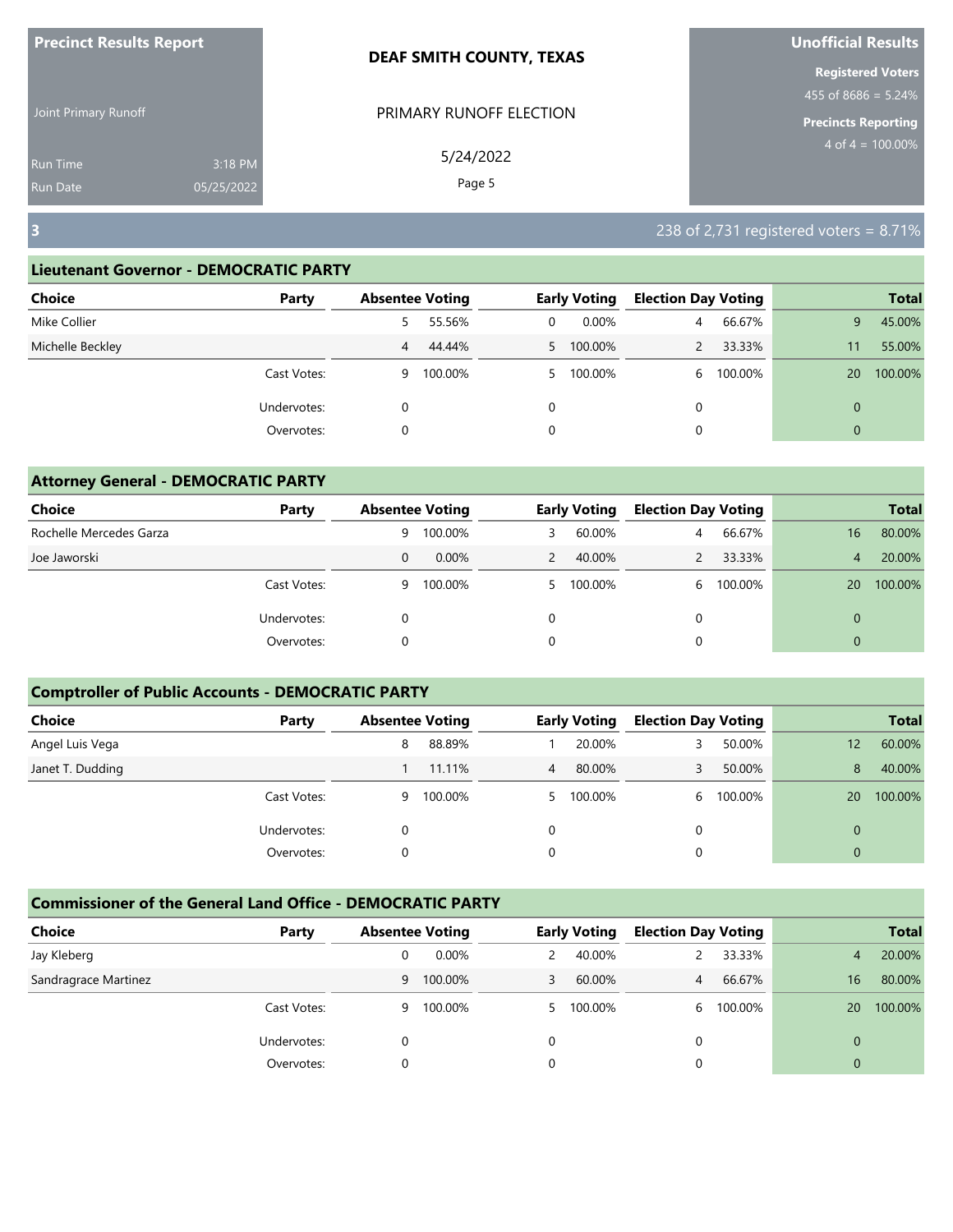| <b>Precinct Results Report</b>                       |  | <b>DEAF SMITH COUNTY, TEXAS</b> | Unofficial Results                                                              |
|------------------------------------------------------|--|---------------------------------|---------------------------------------------------------------------------------|
| Joint Primary Runoff                                 |  | PRIMARY RUNOFF ELECTION         | <b>Registered Voters</b><br>$455$ of 8686 = 5.24%<br><b>Precincts Reporting</b> |
| 3:18 PM<br><b>Run Time</b><br>05/25/2022<br>Run Date |  | 5/24/2022<br>Page 5             | $4 \text{ of } 4 = 100.00\%$                                                    |
| $\overline{\mathbf{3}}$                              |  |                                 | 238 of 2,731 registered voters = $8.71\%$                                       |

| Choice<br>Party  |   | <b>Absentee Voting</b> |   | <b>Early Voting</b> | <b>Election Day Voting</b> |         |                | <b>Total</b> |
|------------------|---|------------------------|---|---------------------|----------------------------|---------|----------------|--------------|
| Mike Collier     | 5 | 55.56%                 | 0 | $0.00\%$            | $\overline{4}$             | 66.67%  | 9              | 45.00%       |
| Michelle Beckley | 4 | 44.44%                 |   | 5 100.00%           |                            | 33.33%  | 11             | 55.00%       |
| Cast Votes:      | 9 | 100.00%                |   | 5 100.00%           | 6                          | 100.00% | 20             | 100.00%      |
| Undervotes:      |   |                        | 0 |                     | 0                          |         | $\overline{0}$ |              |
| Overvotes:       | 0 |                        | 0 |                     | 0                          |         | $\overline{0}$ |              |

| <b>Attorney General - DEMOCRATIC PARTY</b> |             |   |                        |               |                     |                            |         |                |              |
|--------------------------------------------|-------------|---|------------------------|---------------|---------------------|----------------------------|---------|----------------|--------------|
| Choice                                     | Party       |   | <b>Absentee Voting</b> |               | <b>Early Voting</b> | <b>Election Day Voting</b> |         |                | <b>Total</b> |
| Rochelle Mercedes Garza                    |             | 9 | 100.00%                | 3             | 60.00%              | 4                          | 66.67%  | 16             | 80.00%       |
| Joe Jaworski                               |             | 0 | $0.00\%$               | $\mathcal{P}$ | 40.00%              |                            | 33.33%  | $\overline{4}$ | 20.00%       |
|                                            | Cast Votes: | 9 | 100.00%                | 5.            | 100.00%             | 6                          | 100.00% | 20             | 100.00%      |
|                                            | Undervotes: | 0 |                        | $\Omega$      |                     | $\Omega$                   |         | $\Omega$       |              |
|                                            | Overvotes:  | 0 |                        | 0             |                     |                            |         | $\mathbf 0$    |              |

# **Comptroller of Public Accounts - DEMOCRATIC PARTY**

| Choice           | Party       | <b>Absentee Voting</b> |         |    | <b>Early Voting</b> | <b>Election Day Voting</b> |         |          | <b>Total</b> |
|------------------|-------------|------------------------|---------|----|---------------------|----------------------------|---------|----------|--------------|
| Angel Luis Vega  |             | 8                      | 88.89%  |    | 20.00%              |                            | 50.00%  | 12       | 60.00%       |
| Janet T. Dudding |             |                        | 11.11%  | 4  | 80.00%              |                            | 50.00%  | 8        | 40.00%       |
|                  | Cast Votes: | 9                      | 100.00% | 5. | 100.00%             | 6.                         | 100.00% | 20       | 100.00%      |
|                  | Undervotes: | 0                      |         | 0  |                     |                            |         | $\Omega$ |              |
|                  | Overvotes:  |                        |         | 0  |                     |                            |         | $\Omega$ |              |

| Choice               | Party       | <b>Absentee Voting</b> |          |   | <b>Early Voting</b> | <b>Election Day Voting</b> |         |    | <b>Total</b> |
|----------------------|-------------|------------------------|----------|---|---------------------|----------------------------|---------|----|--------------|
| Jay Kleberg          |             |                        | $0.00\%$ |   | 40.00%              |                            | 33.33%  | 4  | 20.00%       |
| Sandragrace Martinez |             | 9                      | 100.00%  | 3 | 60.00%              | 4                          | 66.67%  | 16 | 80.00%       |
|                      | Cast Votes: | 9                      | 100.00%  |   | 100.00%             | h                          | 100.00% | 20 | 100.00%      |
|                      | Undervotes: |                        |          | 0 |                     |                            |         | 0  |              |
|                      | Overvotes:  |                        |          |   |                     |                            |         | 0  |              |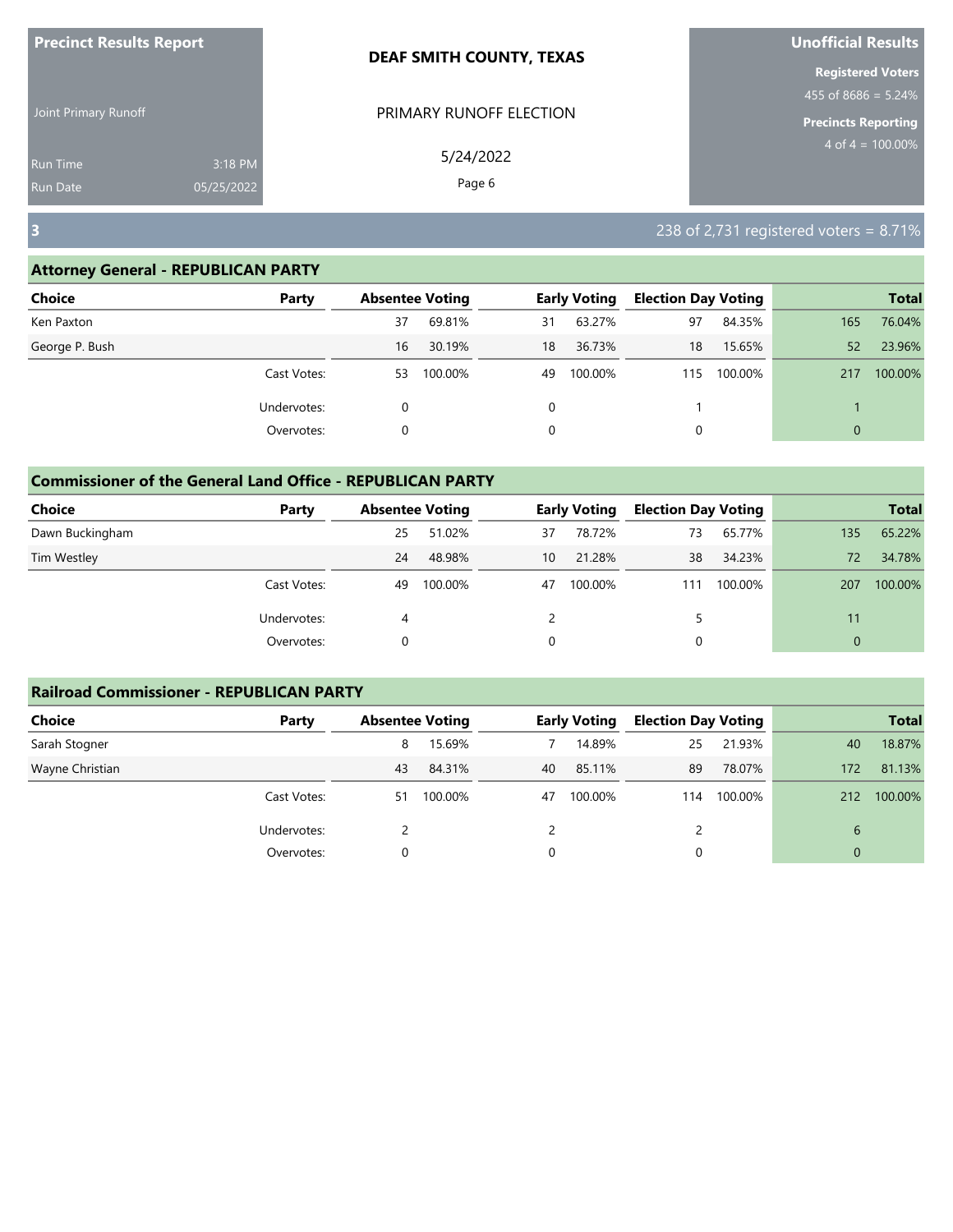| <b>Precinct Results Report</b>     |                       | <b>DEAF SMITH COUNTY, TEXAS</b> | Unofficial Results                                 |
|------------------------------------|-----------------------|---------------------------------|----------------------------------------------------|
| Joint Primary Runoff               |                       | PRIMARY RUNOFF ELECTION         | <b>Registered Voters</b><br>455 of 8686 = $5.24\%$ |
|                                    |                       |                                 | <b>Precincts Reporting</b>                         |
| <b>Run Time</b><br><b>Run Date</b> | 3:18 PM<br>05/25/2022 | 5/24/2022<br>Page 6             | $4 \text{ of } 4 = 100.00\%$                       |
| $\overline{\mathbf{3}}$            |                       |                                 | 238 of 2,731 registered voters = $8.71\%$          |

| Choice         | Party       | <b>Absentee Voting</b> |         |    | <b>Early Voting</b> | <b>Election Day Voting</b> |         |          | <b>Total</b> |
|----------------|-------------|------------------------|---------|----|---------------------|----------------------------|---------|----------|--------------|
| Ken Paxton     |             | 37                     | 69.81%  | 31 | 63.27%              | 97                         | 84.35%  | 165      | 76.04%       |
| George P. Bush |             | 16                     | 30.19%  | 18 | 36.73%              | 18                         | 15.65%  | 52       | 23.96%       |
|                | Cast Votes: | 53                     | 100.00% | 49 | 100.00%             | 115                        | 100.00% | 217      | 100.00%      |
|                | Undervotes: |                        |         | 0  |                     |                            |         |          |              |
|                | Overvotes:  |                        |         | 0  |                     |                            |         | $\Omega$ |              |

| <b>Commissioner of the General Land Office - REPUBLICAN PARTY</b> |             |    |                        |    |                     |                            |         |              |              |
|-------------------------------------------------------------------|-------------|----|------------------------|----|---------------------|----------------------------|---------|--------------|--------------|
| Choice                                                            | Party       |    | <b>Absentee Voting</b> |    | <b>Early Voting</b> | <b>Election Day Voting</b> |         |              | <b>Total</b> |
| Dawn Buckingham                                                   |             | 25 | 51.02%                 | 37 | 78.72%              | 73                         | 65.77%  | 135          | 65.22%       |
| Tim Westley                                                       |             | 24 | 48.98%                 | 10 | 21.28%              | 38                         | 34.23%  | 72           | 34.78%       |
|                                                                   | Cast Votes: | 49 | 100.00%                | 47 | 100.00%             | 111                        | 100.00% | 207          | 100.00%      |
|                                                                   | Undervotes: | 4  |                        |    |                     |                            |         | 11           |              |
|                                                                   | Overvotes:  | 0  |                        | 0  |                     | 0                          |         | $\mathbf{0}$ |              |

| <b>Railroad Commissioner - REPUBLICAN PARTY</b> |             |                        |         |    |                     |                            |         |              |              |
|-------------------------------------------------|-------------|------------------------|---------|----|---------------------|----------------------------|---------|--------------|--------------|
| <b>Choice</b>                                   | Party       | <b>Absentee Voting</b> |         |    | <b>Early Voting</b> | <b>Election Day Voting</b> |         |              | <b>Total</b> |
| Sarah Stogner                                   |             | 8                      | 15.69%  |    | 14.89%              | 25                         | 21.93%  | 40           | 18.87%       |
| Wayne Christian                                 |             | 43                     | 84.31%  | 40 | 85.11%              | 89                         | 78.07%  | 172          | 81.13%       |
|                                                 | Cast Votes: | 51                     | 100.00% | 47 | 100.00%             | 114                        | 100.00% | 212          | 100.00%      |
|                                                 | Undervotes: |                        |         |    |                     |                            |         | 6            |              |
|                                                 | Overvotes:  | 0                      |         | 0  |                     | 0                          |         | $\mathbf{0}$ |              |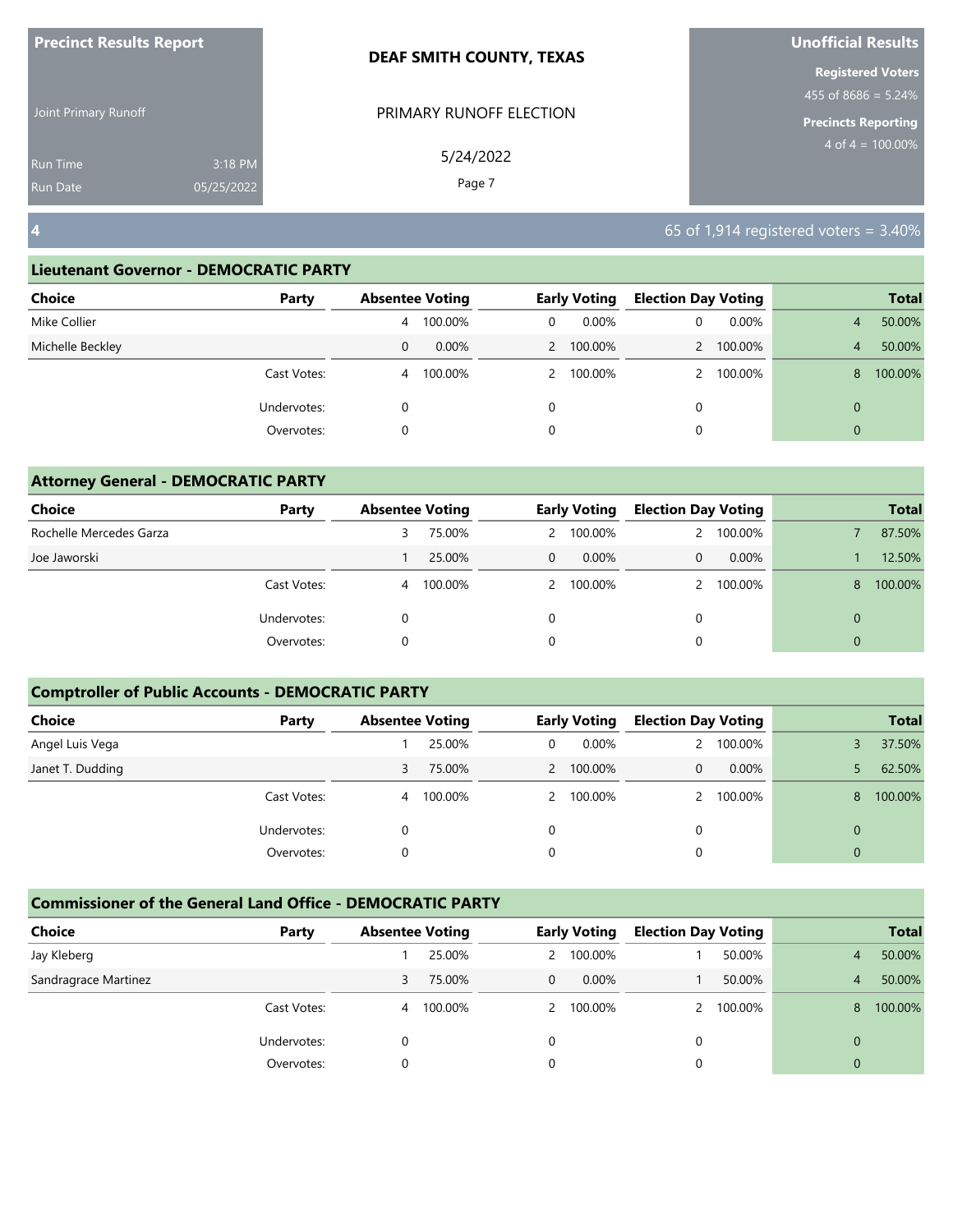| <b>Precinct Results Report</b> |            | <b>DEAF SMITH COUNTY, TEXAS</b> | Unofficial Results                              |
|--------------------------------|------------|---------------------------------|-------------------------------------------------|
|                                |            |                                 | <b>Registered Voters</b><br>455 of 8686 = 5.24% |
| Joint Primary Runoff           |            | PRIMARY RUNOFF ELECTION         | <b>Precincts Reporting</b>                      |
| <b>Run Time</b>                | 3:18 PM    | 5/24/2022                       | $4$ of $4 = 100.00\%$                           |
| <b>Run Date</b>                | 05/25/2022 | Page 7                          |                                                 |
| $\vert 4 \vert$                |            |                                 | 65 of 1,914 registered voters = $3.40\%$        |

| Choice           | Party       |   | <b>Absentee Voting</b> |   | <b>Early Voting</b> |   | <b>Election Day Voting</b> |              | <b>Total</b> |
|------------------|-------------|---|------------------------|---|---------------------|---|----------------------------|--------------|--------------|
| Mike Collier     |             | 4 | 100.00%                | 0 | $0.00\%$            | 0 | $0.00\%$                   | 4            | 50.00%       |
| Michelle Beckley |             | 0 | $0.00\%$               |   | 2 100.00%           |   | 100.00%                    | 4            | 50.00%       |
|                  | Cast Votes: | 4 | 100.00%                |   | 2 100.00%           |   | 100.00%                    | 8            | 100.00%      |
|                  | Undervotes: | 0 |                        | 0 |                     | 0 |                            | $\mathbf{0}$ |              |
|                  | Overvotes:  | 0 |                        | 0 |                     | 0 |                            | $\mathbf{0}$ |              |
|                  |             |   |                        |   |                     |   |                            |              |              |

| <b>Attorney General - DEMOCRATIC PARTY</b> |             |                        |         |          |                     |                            |           |             |              |
|--------------------------------------------|-------------|------------------------|---------|----------|---------------------|----------------------------|-----------|-------------|--------------|
| Choice                                     | Party       | <b>Absentee Voting</b> |         |          | <b>Early Voting</b> | <b>Election Day Voting</b> |           |             | <b>Total</b> |
| Rochelle Mercedes Garza                    |             | 3                      | 75.00%  |          | 2 100.00%           | $\mathbf{2}$               | 100.00%   |             | 87.50%       |
| Joe Jaworski                               |             |                        | 25.00%  | 0        | 0.00%               | $\Omega$                   | $0.00\%$  |             | 12.50%       |
|                                            | Cast Votes: | 4                      | 100.00% |          | 2 100.00%           |                            | 2 100.00% | 8           | 100.00%      |
|                                            | Undervotes: |                        |         | $\Omega$ |                     | $\Omega$                   |           |             |              |
|                                            | Overvotes:  |                        |         | 0        |                     | 0                          |           | $\mathbf 0$ |              |

## **Comptroller of Public Accounts - DEMOCRATIC PARTY**

| Choice           | Party       | <b>Absentee Voting</b> |         |          | <b>Early Voting</b> | <b>Election Day Voting</b> |          |                | <b>Total</b> |
|------------------|-------------|------------------------|---------|----------|---------------------|----------------------------|----------|----------------|--------------|
| Angel Luis Vega  |             |                        | 25.00%  | 0        | $0.00\%$            | 2                          | 100.00%  |                | 37.50%       |
| Janet T. Dudding |             | 3                      | 75.00%  |          | 2 100.00%           | 0                          | $0.00\%$ |                | 62.50%       |
|                  | Cast Votes: | 4                      | 100.00% |          | 2 100.00%           |                            | 100.00%  | 8              | 100.00%      |
|                  | Undervotes: |                        |         | $\Omega$ |                     |                            |          | 0              |              |
|                  | Overvotes:  |                        |         | $\Omega$ |                     |                            |          | $\overline{0}$ |              |

| Choice               | Party       | <b>Absentee Voting</b> |         |   | <b>Early Voting</b> | <b>Election Day Voting</b> |         |          | <b>Total</b> |
|----------------------|-------------|------------------------|---------|---|---------------------|----------------------------|---------|----------|--------------|
| Jay Kleberg          |             |                        | 25.00%  |   | 2 100.00%           |                            | 50.00%  | 4        | 50.00%       |
| Sandragrace Martinez |             | 3                      | 75.00%  | 0 | $0.00\%$            |                            | 50.00%  | 4        | 50.00%       |
|                      | Cast Votes: | 4                      | 100.00% |   | 2 100.00%           |                            | 100.00% | 8        | 100.00%      |
|                      | Undervotes: |                        |         | 0 |                     |                            |         |          |              |
|                      | Overvotes:  |                        |         |   |                     |                            |         | $\Omega$ |              |